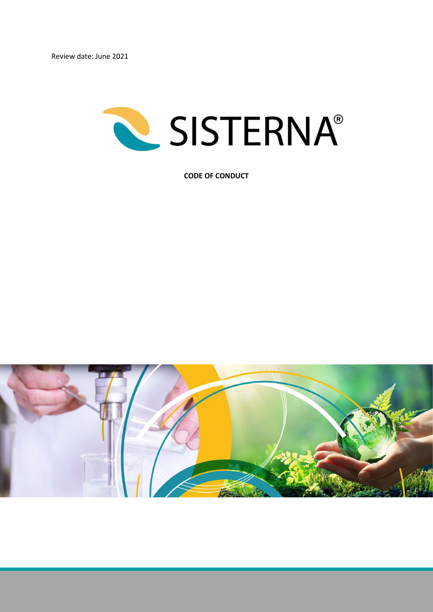

CODE OF CONDUCT

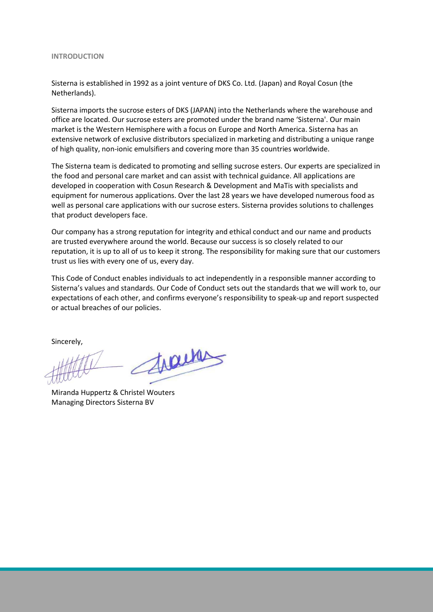#### INTRODUCTION

Sisterna is established in 1992 as a joint venture of DKS Co. Ltd. (Japan) and Royal Cosun (the Netherlands).

Sisterna imports the sucrose esters of DKS (JAPAN) into the Netherlands where the warehouse and office are located. Our sucrose esters are promoted under the brand name 'Sisterna'. Our main market is the Western Hemisphere with a focus on Europe and North America. Sisterna has an extensive network of exclusive distributors specialized in marketing and distributing a unique range of high quality, non-ionic emulsifiers and covering more than 35 countries worldwide.

The Sisterna team is dedicated to promoting and selling sucrose esters. Our experts are specialized in the food and personal care market and can assist with technical guidance. All applications are developed in cooperation with Cosun Research & Development and MaTis with specialists and equipment for numerous applications. Over the last 28 years we have developed numerous food as well as personal care applications with our sucrose esters. Sisterna provides solutions to challenges that product developers face.

Our company has a strong reputation for integrity and ethical conduct and our name and products are trusted everywhere around the world. Because our success is so closely related to our reputation, it is up to all of us to keep it strong. The responsibility for making sure that our customers trust us lies with every one of us, every day.

This Code of Conduct enables individuals to act independently in a responsible manner according to Sisterna's values and standards. Our Code of Conduct sets out the standards that we will work to, our expectations of each other, and confirms everyone's responsibility to speak-up and report suspected or actual breaches of our policies.

Sincerely,

trains

Miranda Huppertz & Christel Wouters Managing Directors Sisterna BV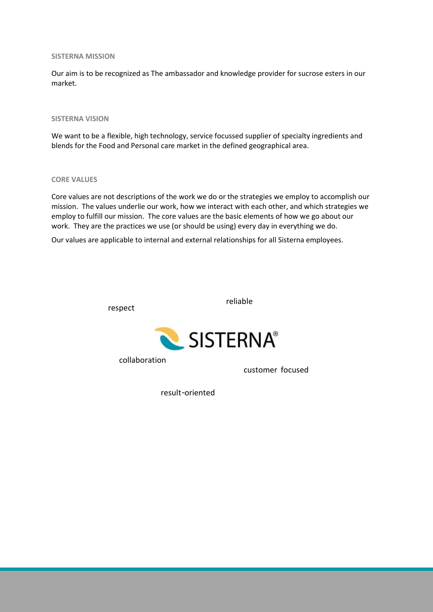#### SISTERNA MISSION

Our aim is to be recognized as The ambassador and knowledge provider for sucrose esters in our market.

## SISTERNA VISION

We want to be a flexible, high technology, service focussed supplier of specialty ingredients and blends for the Food and Personal care market in the defined geographical area.

### CORE VALUES

Core values are not descriptions of the work we do or the strategies we employ to accomplish our mission. The values underlie our work, how we interact with each other, and which strategies we employ to fulfill our mission. The core values are the basic elements of how we go about our work. They are the practices we use (or should be using) every day in everything we do.

Our values are applicable to internal and external relationships for all Sisterna employees.

respect

reliable



collaboration

customer focused

result-oriented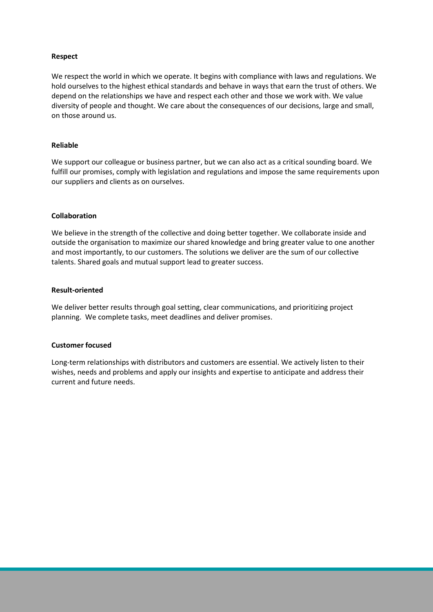# Respect

We respect the world in which we operate. It begins with compliance with laws and regulations. We hold ourselves to the highest ethical standards and behave in ways that earn the trust of others. We depend on the relationships we have and respect each other and those we work with. We value diversity of people and thought. We care about the consequences of our decisions, large and small, on those around us.

## Reliable

We support our colleague or business partner, but we can also act as a critical sounding board. We fulfill our promises, comply with legislation and regulations and impose the same requirements upon our suppliers and clients as on ourselves.

## Collaboration

We believe in the strength of the collective and doing better together. We collaborate inside and outside the organisation to maximize our shared knowledge and bring greater value to one another and most importantly, to our customers. The solutions we deliver are the sum of our collective talents. Shared goals and mutual support lead to greater success.

### Result-oriented

We deliver better results through goal setting, clear communications, and prioritizing project planning. We complete tasks, meet deadlines and deliver promises.

### Customer focused

Long-term relationships with distributors and customers are essential. We actively listen to their wishes, needs and problems and apply our insights and expertise to anticipate and address their current and future needs.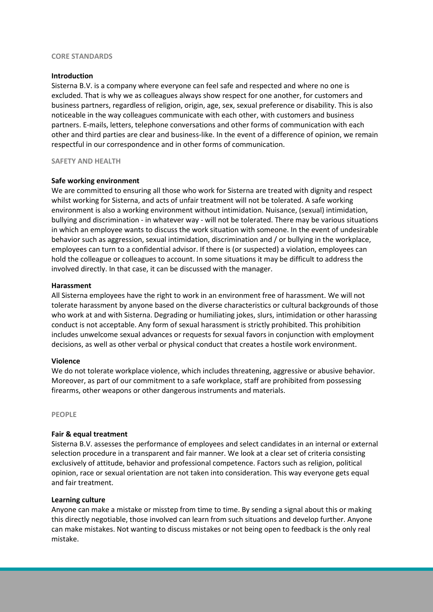### CORE STANDARDS

### Introduction

Sisterna B.V. is a company where everyone can feel safe and respected and where no one is excluded. That is why we as colleagues always show respect for one another, for customers and business partners, regardless of religion, origin, age, sex, sexual preference or disability. This is also noticeable in the way colleagues communicate with each other, with customers and business partners. E-mails, letters, telephone conversations and other forms of communication with each other and third parties are clear and business-like. In the event of a difference of opinion, we remain respectful in our correspondence and in other forms of communication.

#### SAFETY AND HEALTH

#### Safe working environment

We are committed to ensuring all those who work for Sisterna are treated with dignity and respect whilst working for Sisterna, and acts of unfair treatment will not be tolerated. A safe working environment is also a working environment without intimidation. Nuisance, (sexual) intimidation, bullying and discrimination - in whatever way - will not be tolerated. There may be various situations in which an employee wants to discuss the work situation with someone. In the event of undesirable behavior such as aggression, sexual intimidation, discrimination and / or bullying in the workplace, employees can turn to a confidential advisor. If there is (or suspected) a violation, employees can hold the colleague or colleagues to account. In some situations it may be difficult to address the involved directly. In that case, it can be discussed with the manager.

#### Harassment

All Sisterna employees have the right to work in an environment free of harassment. We will not tolerate harassment by anyone based on the diverse characteristics or cultural backgrounds of those who work at and with Sisterna. Degrading or humiliating jokes, slurs, intimidation or other harassing conduct is not acceptable. Any form of sexual harassment is strictly prohibited. This prohibition includes unwelcome sexual advances or requests for sexual favors in conjunction with employment decisions, as well as other verbal or physical conduct that creates a hostile work environment.

#### Violence

We do not tolerate workplace violence, which includes threatening, aggressive or abusive behavior. Moreover, as part of our commitment to a safe workplace, staff are prohibited from possessing firearms, other weapons or other dangerous instruments and materials.

PEOPLE

### Fair & equal treatment

Sisterna B.V. assesses the performance of employees and select candidates in an internal or external selection procedure in a transparent and fair manner. We look at a clear set of criteria consisting exclusively of attitude, behavior and professional competence. Factors such as religion, political opinion, race or sexual orientation are not taken into consideration. This way everyone gets equal and fair treatment.

#### Learning culture

Anyone can make a mistake or misstep from time to time. By sending a signal about this or making this directly negotiable, those involved can learn from such situations and develop further. Anyone can make mistakes. Not wanting to discuss mistakes or not being open to feedback is the only real mistake.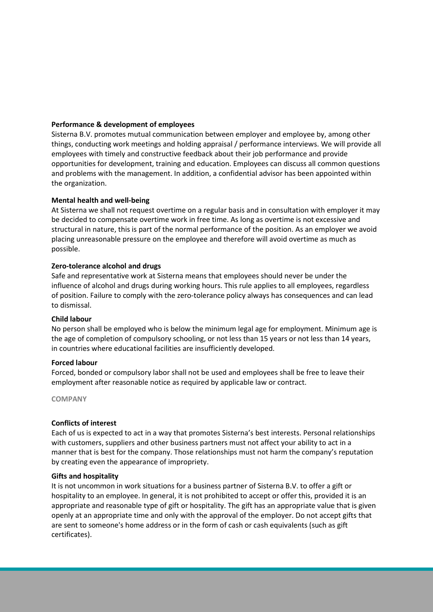# Performance & development of employees

Sisterna B.V. promotes mutual communication between employer and employee by, among other things, conducting work meetings and holding appraisal / performance interviews. We will provide all employees with timely and constructive feedback about their job performance and provide opportunities for development, training and education. Employees can discuss all common questions and problems with the management. In addition, a confidential advisor has been appointed within the organization.

# Mental health and well-being

At Sisterna we shall not request overtime on a regular basis and in consultation with employer it may be decided to compensate overtime work in free time. As long as overtime is not excessive and structural in nature, this is part of the normal performance of the position. As an employer we avoid placing unreasonable pressure on the employee and therefore will avoid overtime as much as possible.

# Zero-tolerance alcohol and drugs

Safe and representative work at Sisterna means that employees should never be under the influence of alcohol and drugs during working hours. This rule applies to all employees, regardless of position. Failure to comply with the zero-tolerance policy always has consequences and can lead to dismissal.

# Child labour

No person shall be employed who is below the minimum legal age for employment. Minimum age is the age of completion of compulsory schooling, or not less than 15 years or not less than 14 years, in countries where educational facilities are insufficiently developed.

# Forced labour

Forced, bonded or compulsory labor shall not be used and employees shall be free to leave their employment after reasonable notice as required by applicable law or contract.

**COMPANY** 

# Conflicts of interest

Each of us is expected to act in a way that promotes Sisterna's best interests. Personal relationships with customers, suppliers and other business partners must not affect your ability to act in a manner that is best for the company. Those relationships must not harm the company's reputation by creating even the appearance of impropriety.

# Gifts and hospitality

It is not uncommon in work situations for a business partner of Sisterna B.V. to offer a gift or hospitality to an employee. In general, it is not prohibited to accept or offer this, provided it is an appropriate and reasonable type of gift or hospitality. The gift has an appropriate value that is given openly at an appropriate time and only with the approval of the employer. Do not accept gifts that are sent to someone's home address or in the form of cash or cash equivalents (such as gift certificates).